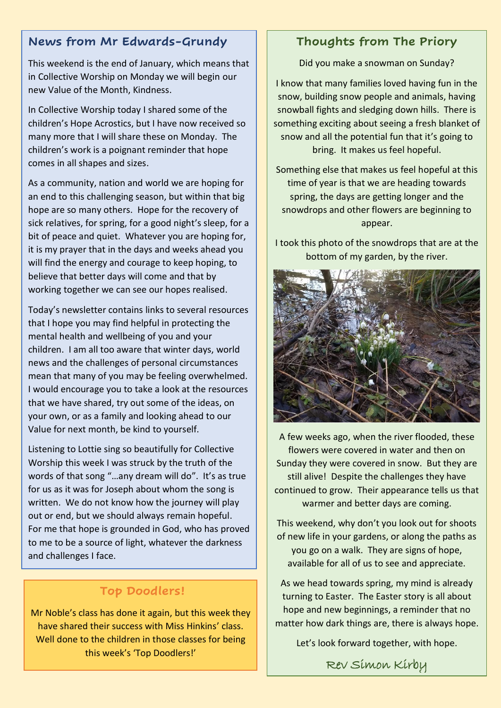# **News from Mr Edwards-Grundy**

This weekend is the end of January, which means that in Collective Worship on Monday we will begin our new Value of the Month, Kindness.

In Collective Worship today I shared some of the children's Hope Acrostics, but I have now received so many more that I will share these on Monday. The children's work is a poignant reminder that hope comes in all shapes and sizes.

As a community, nation and world we are hoping for an end to this challenging season, but within that big hope are so many others. Hope for the recovery of sick relatives, for spring, for a good night's sleep, for a bit of peace and quiet. Whatever you are hoping for, it is my prayer that in the days and weeks ahead you will find the energy and courage to keep hoping, to believe that better days will come and that by working together we can see our hopes realised.

Today's newsletter contains links to several resources that I hope you may find helpful in protecting the mental health and wellbeing of you and your children. I am all too aware that winter days, world news and the challenges of personal circumstances mean that many of you may be feeling overwhelmed. I would encourage you to take a look at the resources that we have shared, try out some of the ideas, on your own, or as a family and looking ahead to our Value for next month, be kind to yourself.

Listening to Lottie sing so beautifully for Collective Worship this week I was struck by the truth of the words of that song "...any dream will do". It's as true for us as it was for Joseph about whom the song is written. We do not know how the journey will play out or end, but we should always remain hopeful. For me that hope is grounded in God, who has proved to me to be a source of light, whatever the darkness and challenges I face.

# **Top Doodlers!**

Mr Noble's class has done it again, but this week they have shared their success with Miss Hinkins' class. Well done to the children in those classes for being this week's 'Top Doodlers!'

# **Thoughts from The Priory**

Did you make a snowman on Sunday?

I know that many families loved having fun in the snow, building snow people and animals, having snowball fights and sledging down hills. There is something exciting about seeing a fresh blanket of snow and all the potential fun that it's going to bring. It makes us feel hopeful.

Something else that makes us feel hopeful at this time of year is that we are heading towards spring, the days are getting longer and the snowdrops and other flowers are beginning to appear.

I took this photo of the snowdrops that are at the bottom of my garden, by the river.



A few weeks ago, when the river flooded, these flowers were covered in water and then on Sunday they were covered in snow. But they are still alive! Despite the challenges they have continued to grow. Their appearance tells us that warmer and better days are coming.

This weekend, why don't you look out for shoots of new life in your gardens, or along the paths as you go on a walk. They are signs of hope, available for all of us to see and appreciate.

As we head towards spring, my mind is already turning to Easter. The Easter story is all about hope and new beginnings, a reminder that no matter how dark things are, there is always hope.

Let's look forward together, with hope.

Rev Simon Kirby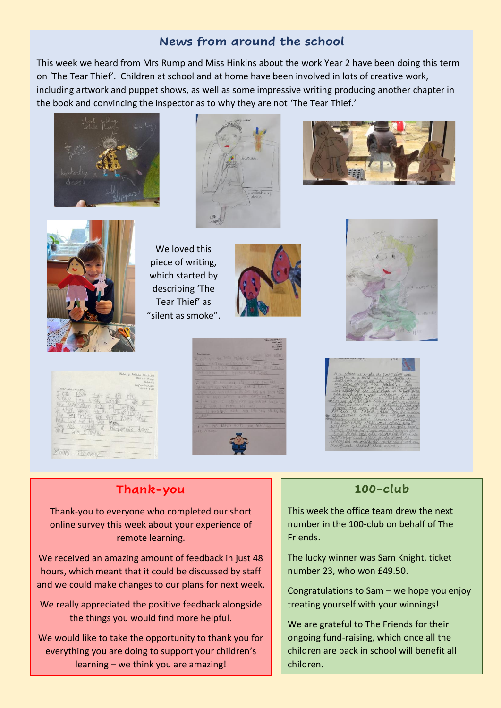# **News from around the school**

This week we heard from Mrs Rump and Miss Hinkins about the work Year 2 have been doing this term on 'The Tear Thief'. Children at school and at home have been involved in lots of creative work, including artwork and puppet shows, as well as some impressive writing producing another chapter in the book and convincing the inspector as to why they are not 'The Tear Thief.'









We loved this piece of writing, which started by describing 'The Tear Thief' as "silent as smoke".











# **Thank-you**

Thank-you to everyone who completed our short online survey this week about your experience of remote learning.

We received an amazing amount of feedback in just 48 hours, which meant that it could be discussed by staff and we could make changes to our plans for next week.

We really appreciated the positive feedback alongside the things you would find more helpful.

We would like to take the opportunity to thank you for everything you are doing to support your children's learning – we think you are amazing!

# **100-club**

This week the office team drew the next number in the 100-club on behalf of The Friends.

The lucky winner was Sam Knight, ticket number 23, who won £49.50.

Congratulations to Sam – we hope you enjoy treating yourself with your winnings!

We are grateful to The Friends for their ongoing fund-raising, which once all the children are back in school will benefit all children.